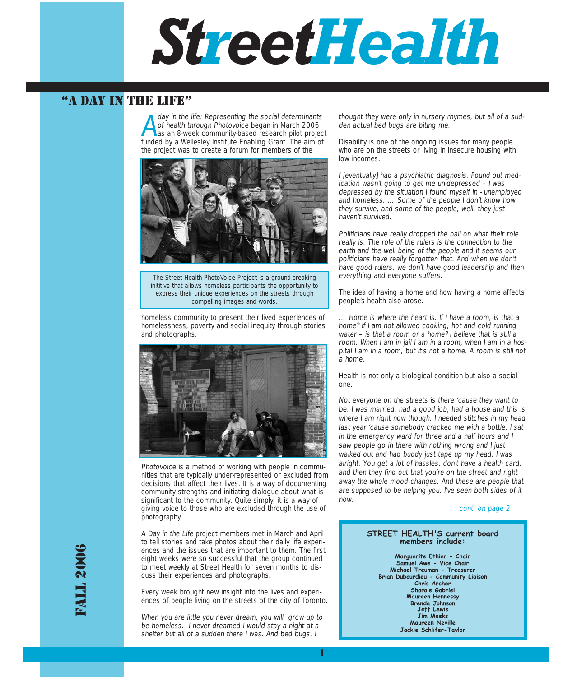# *StreetHealth*

## "A DAY IN THE LIFE"

ay in the life: Representing the social determinant<br>of health through Photovoice began in March 2006<br>as an 8-week community-based research pilot proje day in the life: Representing the social determinants as an 8-week community-based research pilot project funded by a Wellesley Institute Enabling Grant. The aim of the project was to create a forum for members of the



The Street Health PhotoVoice Project is a ground-breaking inititive that allows homeless participants the opportunity to express their unique experiences on the streets through compelling images and words.

homeless community to present their lived experiences of homelessness, poverty and social inequity through stories and photographs.



Photovoice is a method of working with people in communities that are typically under-represented or excluded from decisions that affect their lives. It is a way of documenting community strengths and initiating dialogue about what is significant to the community. Quite simply, it is a way of giving voice to those who are excluded through the use of photography.

A Day in the Life project members met in March and April to tell stories and take photos about their daily life experiences and the issues that are important to them. The first eight weeks were so successful that the group continued to meet weekly at Street Health for seven months to discuss their experiences and photographs.

Every week brought new insight into the lives and experiences of people living on the streets of the city of Toronto.

When you are little you never dream, you will grow up to be homeless. I never dreamed I would stay a night at a shelter but all of a sudden there I was. And bed bugs. I

thought they were only in nursery rhymes, but all of a sudden actual bed bugs are biting me.

Disability is one of the ongoing issues for many people who are on the streets or living in insecure housing with low incomes.

I [eventually] had a psychiatric diagnosis. Found out medication wasn't going to get me un-depressed – I was depressed by the situation I found myself in - unemployed and homeless. … Some of the people I don't know how they survive, and some of the people, well, they just haven't survived.

Politicians have really dropped the ball on what their role really is. The role of the rulers is the connection to the earth and the well being of the people and it seems our politicians have really forgotten that. And when we don't have good rulers, we don't have good leadership and then everything and everyone suffers.

The idea of having a home and how having a home affects people's health also arose.

… Home is where the heart is. If I have a room, is that a home? If I am not allowed cooking, hot and cold running water - is that a room or a home? I believe that is still a room. When I am in jail I am in a room, when I am in a hospital I am in a room, but it's not a home. A room is still not a home.

Health is not only a biological condition but also a social one.

Not everyone on the streets is there 'cause they want to be. I was married, had a good job, had a house and this is where I am right now though. I needed stitches in my head last year 'cause somebody cracked me with a bottle, I sat in the emergency ward for three and a half hours and I saw people go in there with nothing wrong and I just walked out and had buddy just tape up my head, I was alright. You get a lot of hassles, don't have a health card, and then they find out that you're on the street and right away the whole mood changes. And these are people that are supposed to be helping you. I've seen both sides of it now.

cont. on page 2

#### **STREET HEALTH'S current board members include:**

**Marguerite Ethier - Chair Samuel Awe - Vice Chair Michael Treuman - Treasurer Brian Dubourdieu - Community Liaison Chris Archer Sharole Gabriel Maureen Hennessy Brenda Johnson Jeff Lewis Jim Meeks Maureen Neville Jackie Schlifer-Taylor**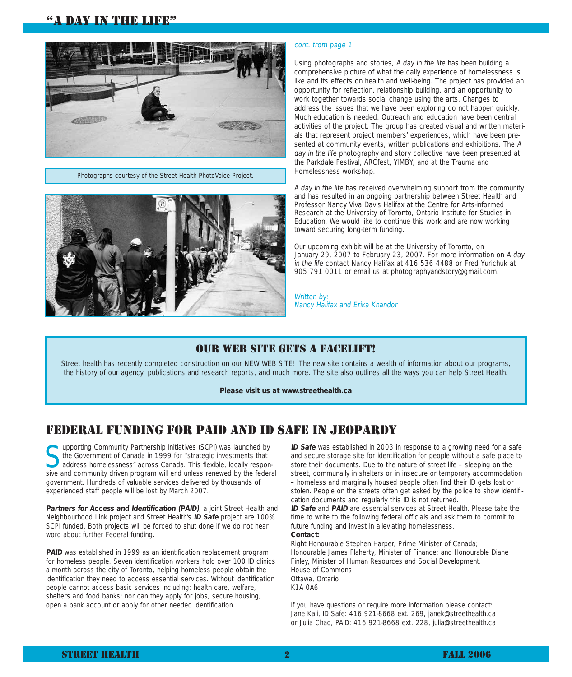### "A DAY IN THE LIFE"



Photographs courtesy of the Street Health PhotoVoice Project.



#### cont. from page 1

Using photographs and stories, A day in the life has been building a comprehensive picture of what the daily experience of homelessness is like and its effects on health and well-being. The project has provided an opportunity for reflection, relationship building, and an opportunity to work together towards social change using the arts. Changes to address the issues that we have been exploring do not happen quickly. Much education is needed. Outreach and education have been central activities of the project. The group has created visual and written materials that represent project members' experiences, which have been presented at community events, written publications and exhibitions. The A day in the life photography and story collective have been presented at the Parkdale Festival, ARCfest, YIMBY, and at the Trauma and Homelessness workshop.

A day in the life has received overwhelming support from the community and has resulted in an ongoing partnership between Street Health and Professor Nancy Viva Davis Halifax at the Centre for Arts-informed Research at the University of Toronto, Ontario Institute for Studies in Education. We would like to continue this work and are now working toward securing long-term funding.

Our upcoming exhibit will be at the University of Toronto, on January 29, 2007 to February 23, 2007. For more information on A day in the life contact Nancy Halifax at 416 536 4488 or Fred Yurichuk at 905 791 0011 or email us at photographyandstory@gmail.com.

Written by: Nancy Halifax and Erika Khandor

#### OUR WEB SITE GETS A FACELIFT!

Street health has recently completed construction on our NEW WEB SITE! The new site contains a wealth of information about our programs, the history of our agency, publications and research reports, and much more. The site also outlines all the ways you can help Street Health.

**Please visit us at www.streethealth.ca**

## FEDERAL FUNDING FOR PAID AND ID SAFE IN JEOPARDY

supporting Community Partnership Initiatives (SCPI) was launched by<br>the Government of Canada in 1999 for "strategic investments that<br>address homelessness" across Canada. This flexible, locally respon-<br>cities and community the Government of Canada in 1999 for "strategic investments that sive and community driven program will end unless renewed by the federal government. Hundreds of valuable services delivered by thousands of experienced staff people will be lost by March 2007.

**Partners for Access and Identification (PAID)**, a joint Street Health and Neighbourhood Link project and Street Health's **ID Safe** project are 100% SCPI funded. Both projects will be forced to shut done if we do not hear word about further Federal funding.

**PAID** was established in 1999 as an identification replacement program for homeless people. Seven identification workers hold over 100 ID clinics a month across the city of Toronto, helping homeless people obtain the identification they need to access essential services. Without identification people cannot access basic services including: health care, welfare, shelters and food banks; nor can they apply for jobs, secure housing, open a bank account or apply for other needed identification.

**ID Safe** was established in 2003 in response to a growing need for a safe and secure storage site for identification for people without a safe place to store their documents. Due to the nature of street life – sleeping on the street, communally in shelters or in insecure or temporary accommodation – homeless and marginally housed people often find their ID gets lost or stolen. People on the streets often get asked by the police to show identification documents and regularly this ID is not returned.

**ID Safe** and **PAID** are essential services at Street Health. Please take the time to write to the following federal officials and ask them to commit to future funding and invest in alleviating homelessness. **Contact:**

Right Honourable Stephen Harper, Prime Minister of Canada; Honourable James Flaherty, Minister of Finance; and Honourable Diane Finley, Minister of Human Resources and Social Development. House of Commons Ottawa, Ontario K1A 0A6

If you have questions or require more information please contact: Jane Kali, ID Safe: 416 921-8668 ext. 269, janek@streethealth.ca or Julia Chao, PAID: 416 921-8668 ext. 228, julia@streethealth.ca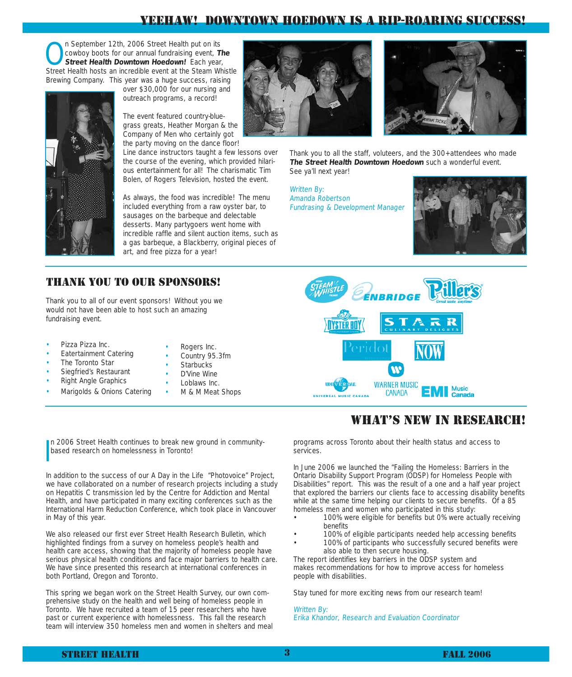## YEEHAW! DOWNTOWN HOEDOWN IS A RIP-ROARING SUCCESS!

**On September 12th, 2006 Street Health put on its cowboy boots for our annual fundraising event, The Street Health Downtown Hoedown! Each year, Street Health Downtown Hoedown! Each year,** cowboy boots for our annual fundraising event, **The** Street Health hosts an incredible event at the Steam Whistle Brewing Company. This year was a huge success, raising

over \$30,000 for our nursing and outreach programs, a record!

The event featured country-bluegrass greats, Heather Morgan & the Company of Men who certainly got the party moving on the dance floor!

Line dance instructors taught a few lessons over the course of the evening, which provided hilarious entertainment for all! The charismatic Tim Bolen, of Rogers Television, hosted the event.

As always, the food was incredible! The menu included everything from a raw oyster bar, to sausages on the barbeque and delectable desserts. Many partygoers went home with incredible raffle and silent auction items, such as a gas barbeque, a Blackberry, original pieces of art, and free pizza for a year!





Thank you to all the staff, voluteers, and the 300+attendees who made **The Street Health Downtown Hoedown** such a wonderful event. See ya'll next year!

Written By: Amanda Robertson Fundrasing & Development Manager



#### THANK YOU TO OUR SPONSORS!

Thank you to all of our event sponsors! Without you we would not have been able to host such an amazing fundraising event.

- Pizza Pizza Inc.
- Eatertainment Catering
- The Toronto Star
- Siegfried's Restaurant
- Right Angle Graphics
- Marigolds & Onions Catering
- Rogers Inc.
- Country 95.3fm
- **Starbucks**
- D'Vine Wine
- Loblaws Inc.
- M & M Meat Shops



## WHAT'S NEW IN RESEARCH!

programs across Toronto about their health status and access to services.

In June 2006 we launched the "Failing the Homeless: Barriers in the Ontario Disability Support Program (ODSP) for Homeless People with Disabilities" report. This was the result of a one and a half year project that explored the barriers our clients face to accessing disability benefits while at the same time helping our clients to secure benefits. Of a 85 homeless men and women who participated in this study:

- 100% were eligible for benefits but 0% were actually receiving benefits
- 100% of eligible participants needed help accessing benefits
- 100% of participants who successfully secured benefits were also able to then secure housing.

The report identifies key barriers in the ODSP system and makes recommendations for how to improve access for homeless people with disabilities.

Stay tuned for more exciting news from our research team!

#### Written By: Erika Khandor, Research and Evaluation Coordinator

I n 2006 Street Health continues to break new ground in communitybased research on homelessness in Toronto!

In addition to the success of our A Day in the Life "Photovoice" Project, we have collaborated on a number of research projects including a study on Hepatitis C transmission led by the Centre for Addiction and Mental Health, and have participated in many exciting conferences such as the International Harm Reduction Conference, which took place in Vancouver in May of this year.

We also released our first ever Street Health Research Bulletin, which highlighted findings from a survey on homeless people's health and health care access, showing that the majority of homeless people have serious physical health conditions and face major barriers to health care. We have since presented this research at international conferences in both Portland, Oregon and Toronto.

This spring we began work on the Street Health Survey, our own comprehensive study on the health and well being of homeless people in Toronto. We have recruited a team of 15 peer researchers who have past or current experience with homelessness. This fall the research team will interview 350 homeless men and women in shelters and meal